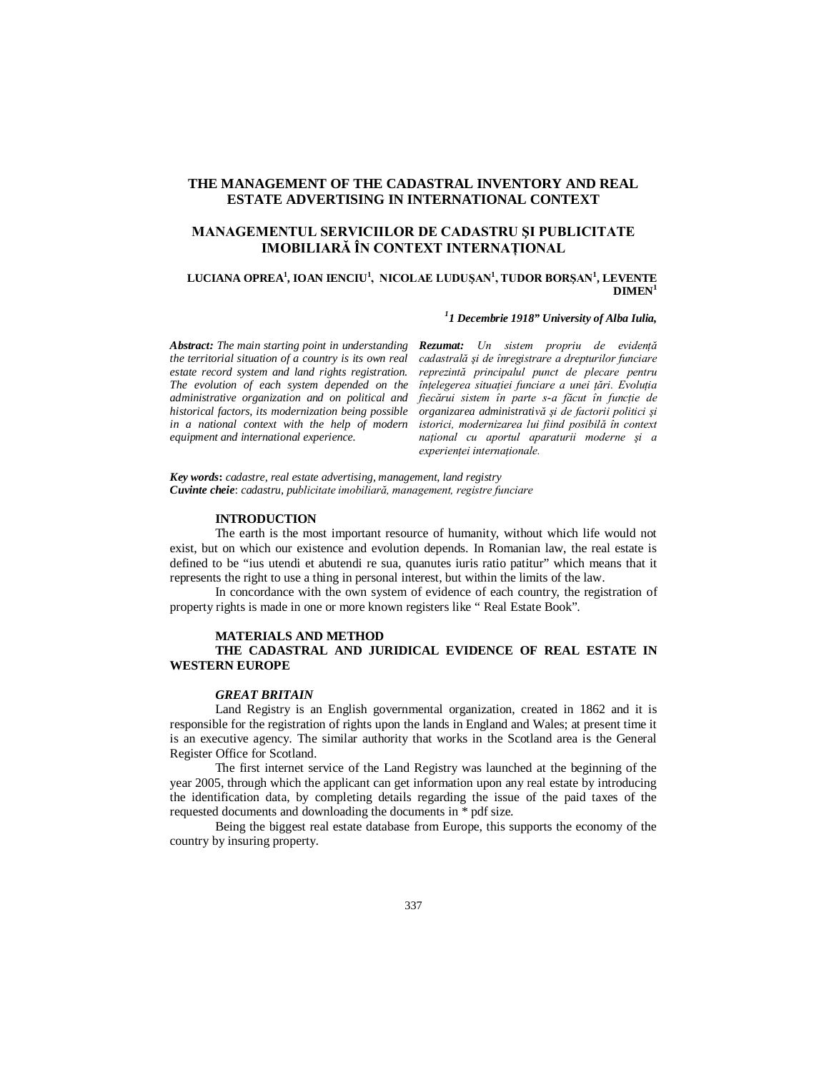# **THE MANAGEMENT OF THE CADASTRAL INVENTORY AND REAL ESTATE ADVERTISING IN INTERNATIONAL CONTEXT**

# **MANAGEMENTUL SERVICIILOR DE CADASTRU ŞI PUBLICITATE IMOBILIARĂ ÎN CONTEXT INTERNAŢIONAL**

### **LUCIANA OPREA<sup>1</sup> , IOAN IENCIU<sup>1</sup> , NICOLAE LUDUŞAN<sup>1</sup> , TUDOR BORŞAN<sup>1</sup> , LEVENTE**   $DIMEN<sup>1</sup>$

### *1 1 Decembrie 1918" University of Alba Iulia,*

*Abstract: The main starting point in understanding the territorial situation of a country is its own real estate record system and land rights registration. The evolution of each system depended on the administrative organization and on political and historical factors, its modernization being possible in a national context with the help of modern equipment and international experience.*

*Rezumat: Un sistem propriu de evidenţă cadastrală şi de înregistrare a drepturilor funciare reprezintă principalul punct de plecare pentru înţelegerea situaţiei funciare a unei ţări. Evoluţia fiecărui sistem în parte s-a făcut în funcţie de organizarea administrativă şi de factorii politici şi istorici, modernizarea lui fiind posibilă în context naţional cu aportul aparaturii moderne şi a experienţei internaţionale.*

*Key words***:** *cadastre, real estate advertising, management, land registry Cuvinte cheie*: *cadastru, publicitate imobiliară, management, registre funciare*

### **INTRODUCTION**

The earth is the most important resource of humanity, without which life would not exist, but on which our existence and evolution depends. In Romanian law, the real estate is defined to be "ius utendi et abutendi re sua, quanutes iuris ratio patitur" which means that it represents the right to use a thing in personal interest, but within the limits of the law.

In concordance with the own system of evidence of each country, the registration of property rights is made in one or more known registers like " Real Estate Book".

#### **MATERIALS AND METHOD**

# **THE CADASTRAL AND JURIDICAL EVIDENCE OF REAL ESTATE IN WESTERN EUROPE**

### *GREAT BRITAIN*

Land Registry is an English governmental organization, created in 1862 and it is responsible for the registration of rights upon the lands in England and Wales; at present time it is an executive agency. The similar authority that works in the Scotland area is the General Register Office for Scotland.

The first internet service of the Land Registry was launched at the beginning of the year 2005, through which the applicant can get information upon any real estate by introducing the identification data, by completing details regarding the issue of the paid taxes of the requested documents and downloading the documents in \* pdf size.

Being the biggest real estate database from Europe, this supports the economy of the country by insuring property.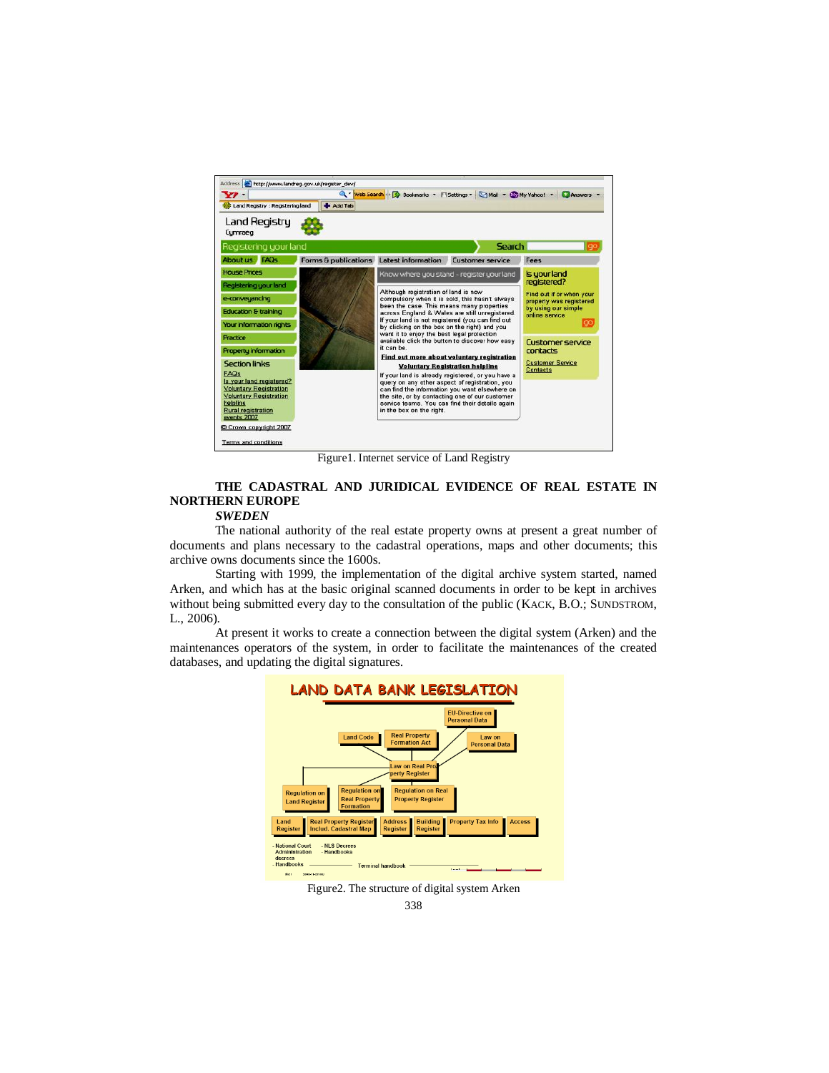

Figure1. Internet service of Land Registry

# **THE CADASTRAL AND JURIDICAL EVIDENCE OF REAL ESTATE IN NORTHERN EUROPE**

### *SWEDEN*

The national authority of the real estate property owns at present a great number of documents and plans necessary to the cadastral operations, maps and other documents; this archive owns documents since the 1600s.

Starting with 1999, the implementation of the digital archive system started, named Arken, and which has at the basic original scanned documents in order to be kept in archives without being submitted every day to the consultation of the public (KACK, B.O.; SUNDSTROM, L., 2006).

At present it works to create a connection between the digital system (Arken) and the maintenances operators of the system, in order to facilitate the maintenances of the created databases, and updating the digital signatures.



Figure2. The structure of digital system Arken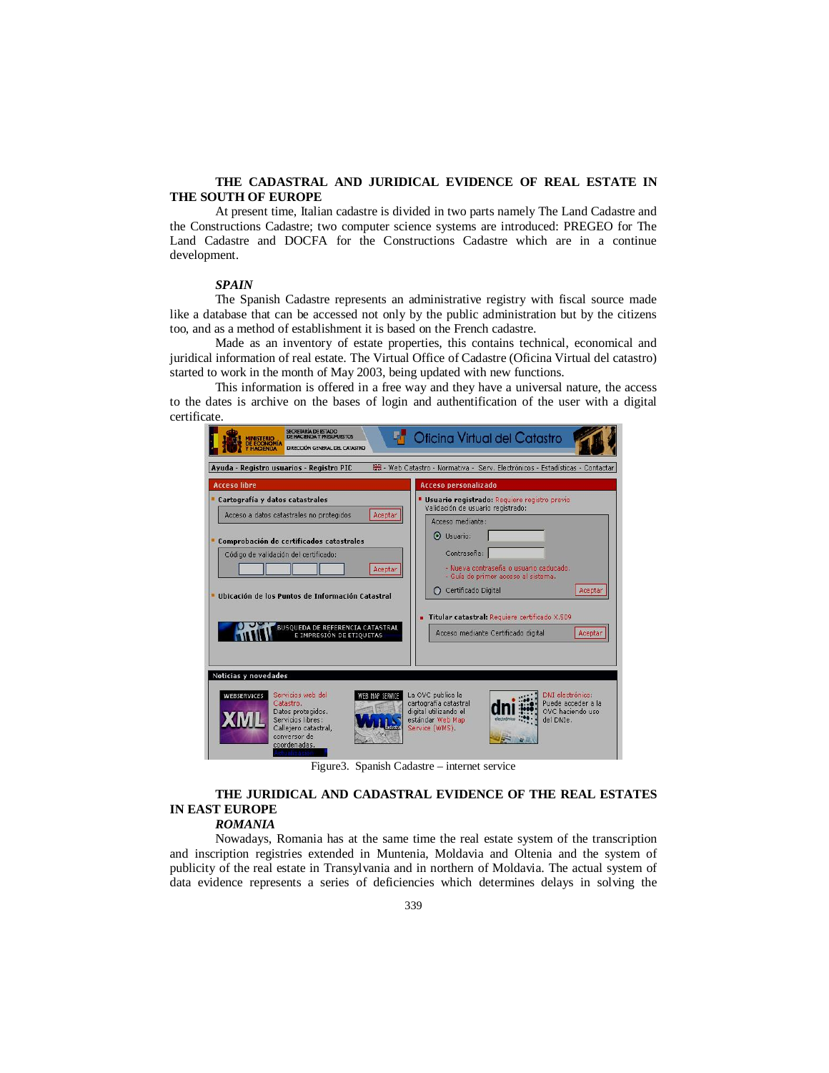### **THE CADASTRAL AND JURIDICAL EVIDENCE OF REAL ESTATE IN THE SOUTH OF EUROPE**

At present time, Italian cadastre is divided in two parts namely The Land Cadastre and the Constructions Cadastre; two computer science systems are introduced: PREGEO for The Land Cadastre and DOCFA for the Constructions Cadastre which are in a continue development.

# *SPAIN*

The Spanish Cadastre represents an administrative registry with fiscal source made like a database that can be accessed not only by the public administration but by the citizens too, and as a method of establishment it is based on the French cadastre.

Made as an inventory of estate properties, this contains technical, economical and juridical information of real estate. The Virtual Office of Cadastre (Oficina Virtual del catastro) started to work in the month of May 2003, being updated with new functions.

This information is offered in a free way and they have a universal nature, the access to the dates is archive on the bases of login and authentification of the user with a digital certificate.

| <b>SECRETARÍA DE ESTADO</b><br>Oficina Virtual del Catastro<br>DE HACIENDA Y PRESURUESTOS<br><b>INISTERIO</b><br>DE ECONOMIA<br>DIRECCIÓN GENERAL DEL CATASTRO<br>端 - Web Catastro - Normativa - Serv, Electrónicos - Estadísticas - Contactar<br>Ayuda - Registro usuarios - Registro PIC |                                                                                                                                                                                      |
|--------------------------------------------------------------------------------------------------------------------------------------------------------------------------------------------------------------------------------------------------------------------------------------------|--------------------------------------------------------------------------------------------------------------------------------------------------------------------------------------|
|                                                                                                                                                                                                                                                                                            |                                                                                                                                                                                      |
| Cartografía y datos catastrales<br>Acceso a datos catastrales no protegidos<br>Aceptar                                                                                                                                                                                                     | Usuario registrado: Requiere registro previo<br>Validación de usuario registrado:<br>Acceso mediante:                                                                                |
| Comprobación de certificados catastrales<br>Código de validación del certificado:<br>Aceptar                                                                                                                                                                                               | $\odot$ Usuario:<br>Contraseña:<br>- Nueva contraseña o usuario caducado.<br>- Guía de primer acceso al sistema.                                                                     |
| Ubicación de los Puntos de Información Catastral<br><b>BUSQUEDA DE REFERENCIA CATASTRAL</b>                                                                                                                                                                                                | ◯ Certificado Digital<br>Aceptar<br><b>Titular catastral:</b> Requiere certificado X.509<br>Acceso mediante Certificado digital<br>Aceptar                                           |
| E IMPRESIÓN DE ETIQUETAS<br>Noticias y novedades<br>Servicios web del<br><b>WEBSERVICES</b><br>FR MAP SERVI<br>Catastro.<br>Datos protegidos.<br>Servicios libres:<br>Callejero catastral,<br>conversor de<br>coordenadas.                                                                 | DNI electrónico:<br>La OVC publica la<br>Puede acceder a la<br>cartografía catastral<br>OVC haciendo uso<br>digital utilizando el<br>estándar Web Map<br>del DNIe.<br>Service (WMS). |

Figure3. Spanish Cadastre – internet service

# **THE JURIDICAL AND CADASTRAL EVIDENCE OF THE REAL ESTATES IN EAST EUROPE**

# *ROMANIA*

Nowadays, Romania has at the same time the real estate system of the transcription and inscription registries extended in Muntenia, Moldavia and Oltenia and the system of publicity of the real estate in Transylvania and in northern of Moldavia. The actual system of data evidence represents a series of deficiencies which determines delays in solving the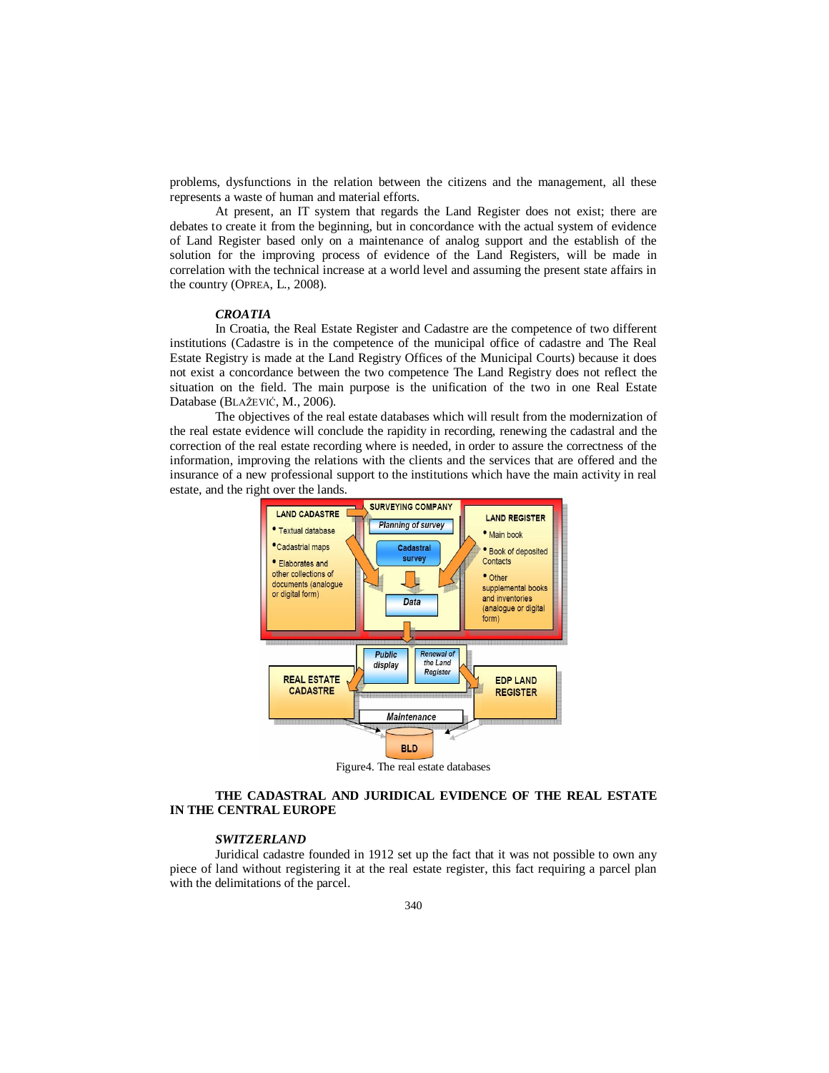problems, dysfunctions in the relation between the citizens and the management, all these represents a waste of human and material efforts.

At present, an IT system that regards the Land Register does not exist; there are debates to create it from the beginning, but in concordance with the actual system of evidence of Land Register based only on a maintenance of analog support and the establish of the solution for the improving process of evidence of the Land Registers, will be made in correlation with the technical increase at a world level and assuming the present state affairs in the country (OPREA, L., 2008).

#### *CROATIA*

In Croatia, the Real Estate Register and Cadastre are the competence of two different institutions (Cadastre is in the competence of the municipal office of cadastre and The Real Estate Registry is made at the Land Registry Offices of the Municipal Courts) because it does not exist a concordance between the two competence The Land Registry does not reflect the situation on the field. The main purpose is the unification of the two in one Real Estate Database (BLAŽEVIĆ, M., 2006).

The objectives of the real estate databases which will result from the modernization of the real estate evidence will conclude the rapidity in recording, renewing the cadastral and the correction of the real estate recording where is needed, in order to assure the correctness of the information, improving the relations with the clients and the services that are offered and the insurance of a new professional support to the institutions which have the main activity in real estate, and the right over the lands.



Figure4. The real estate databases

### **THE CADASTRAL AND JURIDICAL EVIDENCE OF THE REAL ESTATE IN THE CENTRAL EUROPE**

### *SWITZERLAND*

Juridical cadastre founded in 1912 set up the fact that it was not possible to own any piece of land without registering it at the real estate register, this fact requiring a parcel plan with the delimitations of the parcel.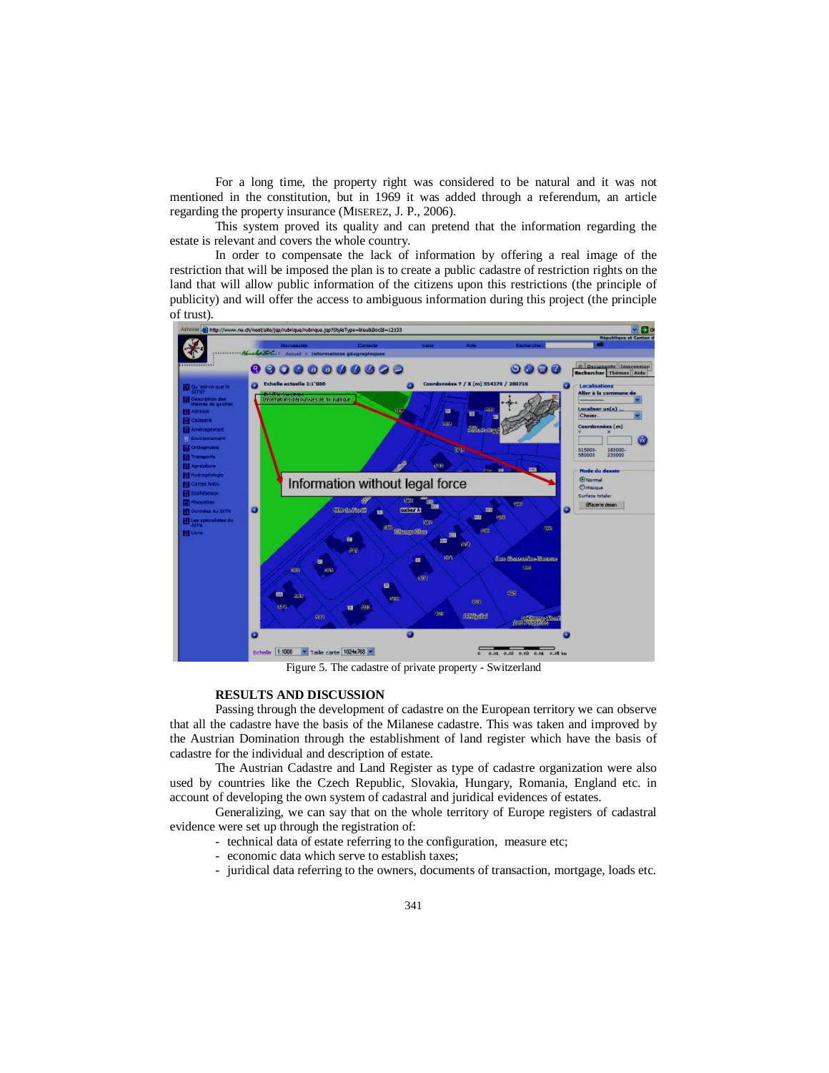For a long time, the property right was considered to be natural and it was not mentioned in the constitution, but in 1969 it was added through a referendum, an article regarding the property insurance (MISEREZ, J. P., 2006).

This system proved its quality and can pretend that the information regarding the estate is relevant and covers the whole country.

In order to compensate the lack of information by offering a real image of the restriction that will be imposed the plan is to create a public cadastre of restriction rights on the land that will allow public information of the citizens upon this restrictions (the principle of publicity) and will offer the access to ambiguous information during this project (the principle of trust).



Figure 5. The cadastre of private property - Switzerland

### **RESULTS AND DISCUSSION**

Passing through the development of cadastre on the European territory we can observe that all the cadastre have the basis of the Milanese cadastre. This was taken and improved by the Austrian Domination through the establishment of land register which have the basis of cadastre for the individual and description of estate.

The Austrian Cadastre and Land Register as type of cadastre organization were also used by countries like the Czech Republic, Slovakia, Hungary, Romania, England etc. in account of developing the own system of cadastral and juridical evidences of estates.

Generalizing, we can say that on the whole territory of Europe registers of cadastral evidence were set up through the registration of:

- technical data of estate referring to the configuration, measure etc;
- economic data which serve to establish taxes;
- juridical data referring to the owners, documents of transaction, mortgage, loads etc.